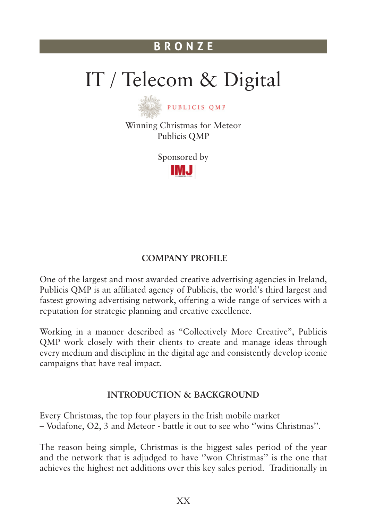# IT / Telecom & Digital



Winning Christmas for Meteor Publicis QMP

Sponsored by

IMJ

## **Company Profile**

One of the largest and most awarded creative advertising agencies in Ireland, Publicis QMP is an affiliated agency of Publicis, the world's third largest and fastest growing advertising network, offering a wide range of services with a reputation for strategic planning and creative excellence.

Working in a manner described as "Collectively More Creative", Publicis QMP work closely with their clients to create and manage ideas through every medium and discipline in the digital age and consistently develop iconic campaigns that have real impact.

## **Introduction & Background**

Every Christmas, the top four players in the Irish mobile market – Vodafone, O2, 3 and Meteor - battle it out to see who ''wins Christmas''.

The reason being simple, Christmas is the biggest sales period of the year and the network that is adjudged to have ''won Christmas'' is the one that achieves the highest net additions over this key sales period. Traditionally in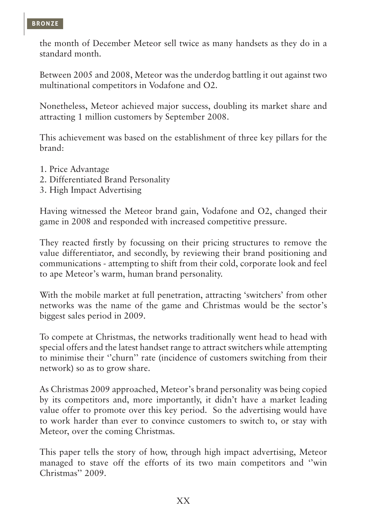the month of December Meteor sell twice as many handsets as they do in a standard month.

Between 2005 and 2008, Meteor was the underdog battling it out against two multinational competitors in Vodafone and O2.

Nonetheless, Meteor achieved major success, doubling its market share and attracting 1 million customers by September 2008.

This achievement was based on the establishment of three key pillars for the brand:

- 1. Price Advantage
- 2. Differentiated Brand Personality
- 3. High Impact Advertising

Having witnessed the Meteor brand gain, Vodafone and O2, changed their game in 2008 and responded with increased competitive pressure.

They reacted firstly by focussing on their pricing structures to remove the value differentiator, and secondly, by reviewing their brand positioning and communications - attempting to shift from their cold, corporate look and feel to ape Meteor's warm, human brand personality.

With the mobile market at full penetration, attracting 'switchers' from other networks was the name of the game and Christmas would be the sector's biggest sales period in 2009.

To compete at Christmas, the networks traditionally went head to head with special offers and the latest handset range to attract switchers while attempting to minimise their ''churn'' rate (incidence of customers switching from their network) so as to grow share.

As Christmas 2009 approached, Meteor's brand personality was being copied by its competitors and, more importantly, it didn't have a market leading value offer to promote over this key period. So the advertising would have to work harder than ever to convince customers to switch to, or stay with Meteor, over the coming Christmas.

This paper tells the story of how, through high impact advertising, Meteor managed to stave off the efforts of its two main competitors and ''win Christmas'' 2009.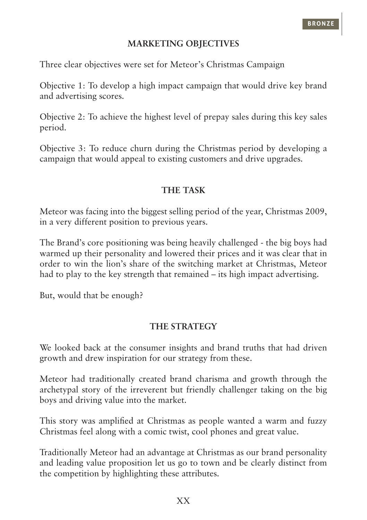## **Marketing Objectives**

Three clear objectives were set for Meteor's Christmas Campaign

Objective 1: To develop a high impact campaign that would drive key brand and advertising scores.

Objective 2: To achieve the highest level of prepay sales during this key sales period.

Objective 3: To reduce churn during the Christmas period by developing a campaign that would appeal to existing customers and drive upgrades.

## **The Task**

Meteor was facing into the biggest selling period of the year, Christmas 2009, in a very different position to previous years.

The Brand's core positioning was being heavily challenged - the big boys had warmed up their personality and lowered their prices and it was clear that in order to win the lion's share of the switching market at Christmas, Meteor had to play to the key strength that remained – its high impact advertising.

But, would that be enough?

## **The Strategy**

We looked back at the consumer insights and brand truths that had driven growth and drew inspiration for our strategy from these.

Meteor had traditionally created brand charisma and growth through the archetypal story of the irreverent but friendly challenger taking on the big boys and driving value into the market.

This story was amplified at Christmas as people wanted a warm and fuzzy Christmas feel along with a comic twist, cool phones and great value.

Traditionally Meteor had an advantage at Christmas as our brand personality and leading value proposition let us go to town and be clearly distinct from the competition by highlighting these attributes.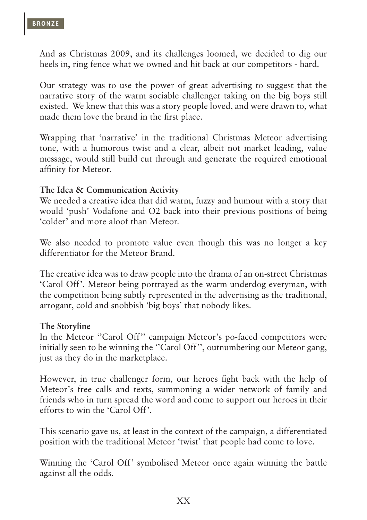And as Christmas 2009, and its challenges loomed, we decided to dig our heels in, ring fence what we owned and hit back at our competitors - hard.

Our strategy was to use the power of great advertising to suggest that the narrative story of the warm sociable challenger taking on the big boys still existed. We knew that this was a story people loved, and were drawn to, what made them love the brand in the first place.

Wrapping that 'narrative' in the traditional Christmas Meteor advertising tone, with a humorous twist and a clear, albeit not market leading, value message, would still build cut through and generate the required emotional affinity for Meteor.

#### **The Idea & Communication Activity**

We needed a creative idea that did warm, fuzzy and humour with a story that would 'push' Vodafone and O2 back into their previous positions of being 'colder' and more aloof than Meteor.

We also needed to promote value even though this was no longer a key differentiator for the Meteor Brand.

The creative idea was to draw people into the drama of an on-street Christmas 'Carol Off'. Meteor being portrayed as the warm underdog everyman, with the competition being subtly represented in the advertising as the traditional, arrogant, cold and snobbish 'big boys' that nobody likes.

#### **The Storyline**

In the Meteor "Carol Off" campaign Meteor's po-faced competitors were initially seen to be winning the "Carol Off", outnumbering our Meteor gang, just as they do in the marketplace.

However, in true challenger form, our heroes fight back with the help of Meteor's free calls and texts, summoning a wider network of family and friends who in turn spread the word and come to support our heroes in their efforts to win the 'Carol Off'.

This scenario gave us, at least in the context of the campaign, a differentiated position with the traditional Meteor 'twist' that people had come to love.

Winning the 'Carol Off' symbolised Meteor once again winning the battle against all the odds.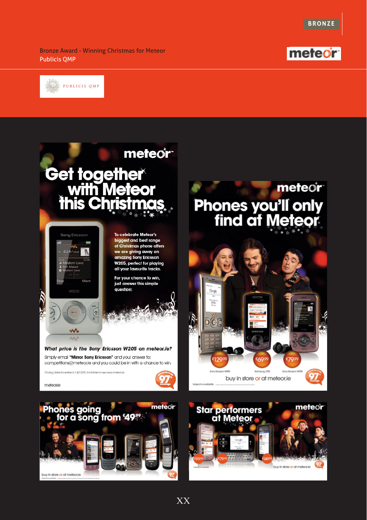

Bronze Award - Winning Christmas for Meteor Publicis QMP





buy in store or at meteor.ie

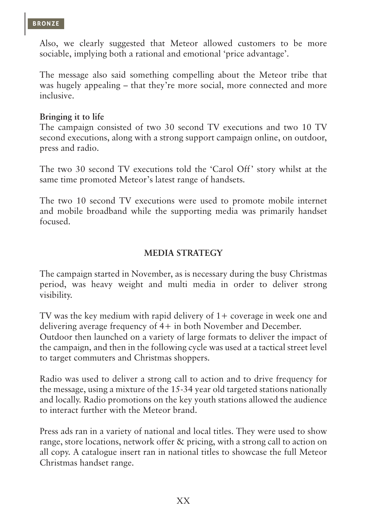Also, we clearly suggested that Meteor allowed customers to be more sociable, implying both a rational and emotional 'price advantage'.

The message also said something compelling about the Meteor tribe that was hugely appealing – that they're more social, more connected and more inclusive.

#### **Bringing it to life**

The campaign consisted of two 30 second TV executions and two 10 TV second executions, along with a strong support campaign online, on outdoor, press and radio.

The two 30 second TV executions told the 'Carol Off' story whilst at the same time promoted Meteor's latest range of handsets.

The two 10 second TV executions were used to promote mobile internet and mobile broadband while the supporting media was primarily handset focused.

## **Media Strategy**

The campaign started in November, as is necessary during the busy Christmas period, was heavy weight and multi media in order to deliver strong visibility.

TV was the key medium with rapid delivery of 1+ coverage in week one and delivering average frequency of 4+ in both November and December. Outdoor then launched on a variety of large formats to deliver the impact of the campaign, and then in the following cycle was used at a tactical street level to target commuters and Christmas shoppers.

Radio was used to deliver a strong call to action and to drive frequency for the message, using a mixture of the 15-34 year old targeted stations nationally and locally. Radio promotions on the key youth stations allowed the audience to interact further with the Meteor brand.

Press ads ran in a variety of national and local titles. They were used to show range, store locations, network offer & pricing, with a strong call to action on all copy. A catalogue insert ran in national titles to showcase the full Meteor Christmas handset range.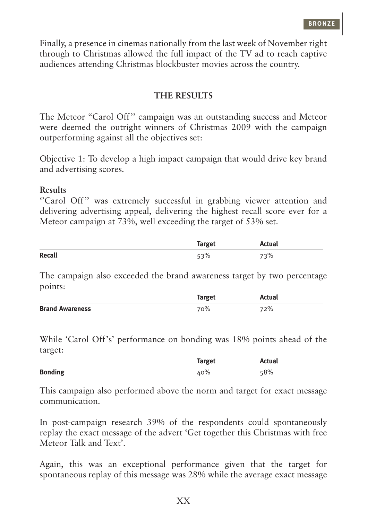Finally, a presence in cinemas nationally from the last week of November right through to Christmas allowed the full impact of the TV ad to reach captive audiences attending Christmas blockbuster movies across the country.

#### **The Results**

The Meteor "Carol Off'' campaign was an outstanding success and Meteor were deemed the outright winners of Christmas 2009 with the campaign outperforming against all the objectives set:

Objective 1: To develop a high impact campaign that would drive key brand and advertising scores.

#### **Results**

"Carol Off" was extremely successful in grabbing viewer attention and delivering advertising appeal, delivering the highest recall score ever for a Meteor campaign at 73%, well exceeding the target of 53% set.

|               | <b>Target</b> | tual |
|---------------|---------------|------|
| <b>Recall</b> |               | ३%   |

The campaign also exceeded the brand awareness target by two percentage points:

|                        | Target | Actual |
|------------------------|--------|--------|
| <b>Brand Awareness</b> | 70%    | 72%    |

While 'Carol Off's' performance on bonding was 18% points ahead of the target:

|                | <b>Target</b> | Actual |
|----------------|---------------|--------|
| <b>Bonding</b> | 40%           | 58%    |

This campaign also performed above the norm and target for exact message communication.

In post-campaign research 39% of the respondents could spontaneously replay the exact message of the advert 'Get together this Christmas with free Meteor Talk and Text'.

Again, this was an exceptional performance given that the target for spontaneous replay of this message was 28% while the average exact message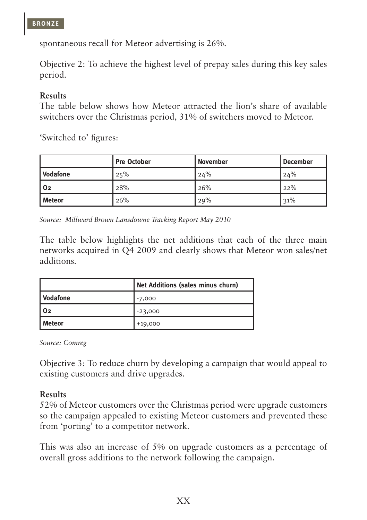

spontaneous recall for Meteor advertising is 26%.

Objective 2: To achieve the highest level of prepay sales during this key sales period.

#### **Results**

The table below shows how Meteor attracted the lion's share of available switchers over the Christmas period, 31% of switchers moved to Meteor.

'Switched to' figures:

|                        | <b>Pre October</b> | <b>November</b> | <b>December</b> |
|------------------------|--------------------|-----------------|-----------------|
| <i><b>Vodafone</b></i> | 25%                | 24%             | 24%             |
| l 02                   | 28%                | 26%             | 22%             |
| l Meteor               | 26%                | 29%             | 31%             |

*Source: Millward Brown Lansdowne Tracking Report May 2010*

The table below highlights the net additions that each of the three main networks acquired in Q4 2009 and clearly shows that Meteor won sales/net additions.

|               | Net Additions (sales minus churn) |
|---------------|-----------------------------------|
| Vodafone      | $-7,000$                          |
| l O2          | $-23,000$                         |
| <b>Meteor</b> | $+19,000$                         |

*Source: Comreg*

Objective 3: To reduce churn by developing a campaign that would appeal to existing customers and drive upgrades.

## **Results**

52% of Meteor customers over the Christmas period were upgrade customers so the campaign appealed to existing Meteor customers and prevented these from 'porting' to a competitor network.

This was also an increase of 5% on upgrade customers as a percentage of overall gross additions to the network following the campaign.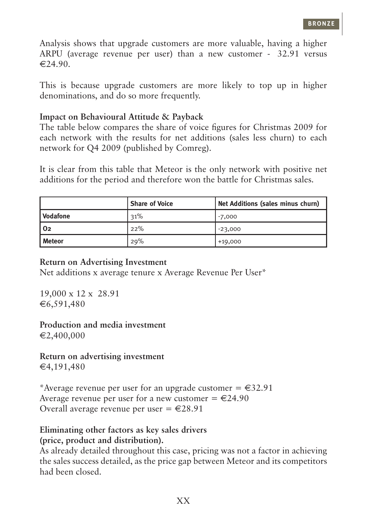Analysis shows that upgrade customers are more valuable, having a higher ARPU (average revenue per user) than a new customer  $-$  62.91 versus  $€24.90.$ 

This is because upgrade customers are more likely to top up in higher denominations, and do so more frequently.

#### **Impact on Behavioural Attitude & Payback**

The table below compares the share of voice figures for Christmas 2009 for each network with the results for net additions (sales less churn) to each network for Q4 2009 (published by Comreg).

It is clear from this table that Meteor is the only network with positive net additions for the period and therefore won the battle for Christmas sales.

|          | <b>Share of Voice</b> | Net Additions (sales minus churn) |
|----------|-----------------------|-----------------------------------|
| Vodafone | 31%                   | $-7,000$                          |
| l O2     | 22%                   | $-23,000$                         |
| l Meteor | 29%                   | $+19,000$                         |

#### **Return on Advertising Investment**

Net additions x average tenure x Average Revenue Per User\*

 $19,000 \times 12 \times \text{€}8.91$  $€6,591,480$ 

**Production and media investment**   $€2,400,000$ 

**Return on advertising investment**   $€4,191,480$ 

\*Average revenue per user for an upgrade customer  $= \epsilon 32.91$ Average revenue per user for a new customer  $= \epsilon 24.90$ Overall average revenue per user =  $\epsilon$ 28.91

## **Eliminating other factors as key sales drivers (price, product and distribution).**

As already detailed throughout this case, pricing was not a factor in achieving the sales success detailed, as the price gap between Meteor and its competitors had been closed.